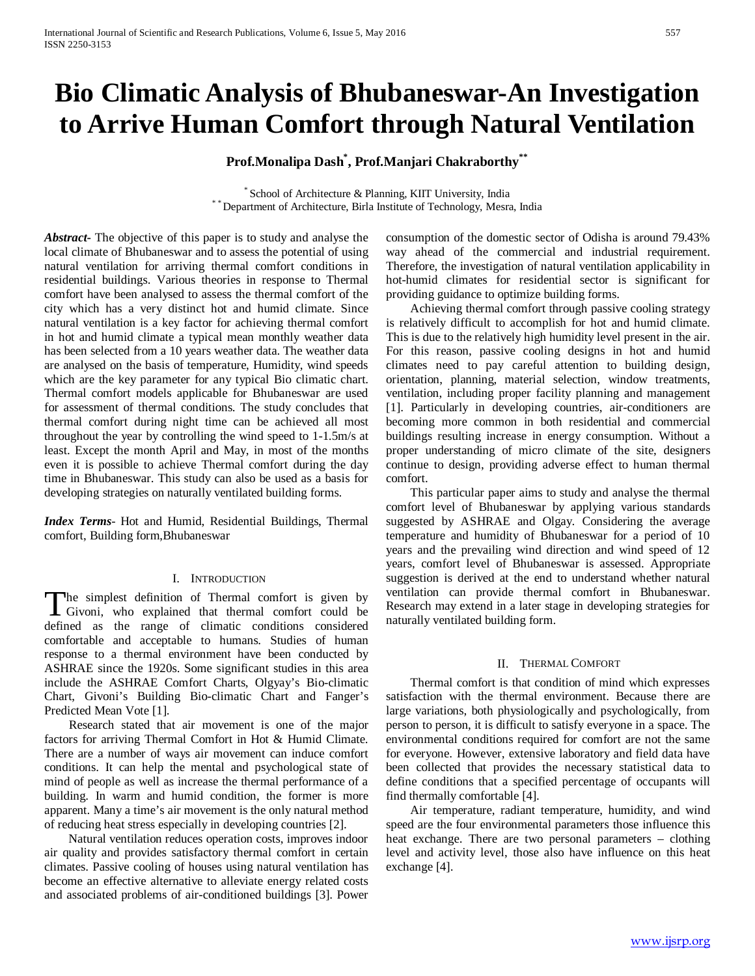# **Bio Climatic Analysis of Bhubaneswar-An Investigation to Arrive Human Comfort through Natural Ventilation**

# **Prof.Monalipa Dash\* , Prof.Manjari Chakraborthy\*\***

 $^\ast$  School of Architecture & Planning, KIIT University, India  $^\ast$  Department of Architecture, Birla Institute of Technology, Mesra, India

*Abstract***-** The objective of this paper is to study and analyse the local climate of Bhubaneswar and to assess the potential of using natural ventilation for arriving thermal comfort conditions in residential buildings. Various theories in response to Thermal comfort have been analysed to assess the thermal comfort of the city which has a very distinct hot and humid climate. Since natural ventilation is a key factor for achieving thermal comfort in hot and humid climate a typical mean monthly weather data has been selected from a 10 years weather data. The weather data are analysed on the basis of temperature, Humidity, wind speeds which are the key parameter for any typical Bio climatic chart. Thermal comfort models applicable for Bhubaneswar are used for assessment of thermal conditions. The study concludes that thermal comfort during night time can be achieved all most throughout the year by controlling the wind speed to 1-1.5m/s at least. Except the month April and May, in most of the months even it is possible to achieve Thermal comfort during the day time in Bhubaneswar. This study can also be used as a basis for developing strategies on naturally ventilated building forms.

*Index Terms*- Hot and Humid, Residential Buildings, Thermal comfort, Building form,Bhubaneswar

#### I. INTRODUCTION

The simplest definition of Thermal comfort is given by The simplest definition of Thermal comfort is given by<br>Givoni, who explained that thermal comfort could be<br>defined to the direction of the continual defined as the range of climatic conditions considered comfortable and acceptable to humans. Studies of human response to a thermal environment have been conducted by ASHRAE since the 1920s. Some significant studies in this area include the ASHRAE Comfort Charts, Olgyay's Bio-climatic Chart, Givoni's Building Bio-climatic Chart and Fanger's Predicted Mean Vote [1].

 Research stated that air movement is one of the major factors for arriving Thermal Comfort in Hot & Humid Climate. There are a number of ways air movement can induce comfort conditions. It can help the mental and psychological state of mind of people as well as increase the thermal performance of a building. In warm and humid condition, the former is more apparent. Many a time's air movement is the only natural method of reducing heat stress especially in developing countries [2].

 Natural ventilation reduces operation costs, improves indoor air quality and provides satisfactory thermal comfort in certain climates. Passive cooling of houses using natural ventilation has become an effective alternative to alleviate energy related costs and associated problems of air-conditioned buildings [3]. Power

consumption of the domestic sector of Odisha is around 79.43% way ahead of the commercial and industrial requirement. Therefore, the investigation of natural ventilation applicability in hot-humid climates for residential sector is significant for providing guidance to optimize building forms.

 Achieving thermal comfort through passive cooling strategy is relatively difficult to accomplish for hot and humid climate. This is due to the relatively high humidity level present in the air. For this reason, passive cooling designs in hot and humid climates need to pay careful attention to building design, orientation, planning, material selection, window treatments, ventilation, including proper facility planning and management [1]. Particularly in developing countries, air-conditioners are becoming more common in both residential and commercial buildings resulting increase in energy consumption. Without a proper understanding of micro climate of the site, designers continue to design, providing adverse effect to human thermal comfort.

 This particular paper aims to study and analyse the thermal comfort level of Bhubaneswar by applying various standards suggested by ASHRAE and Olgay. Considering the average temperature and humidity of Bhubaneswar for a period of 10 years and the prevailing wind direction and wind speed of 12 years, comfort level of Bhubaneswar is assessed. Appropriate suggestion is derived at the end to understand whether natural ventilation can provide thermal comfort in Bhubaneswar. Research may extend in a later stage in developing strategies for naturally ventilated building form.

#### II. THERMAL COMFORT

 Thermal comfort is that condition of mind which expresses satisfaction with the thermal environment. Because there are large variations, both physiologically and psychologically, from person to person, it is difficult to satisfy everyone in a space. The environmental conditions required for comfort are not the same for everyone. However, extensive laboratory and field data have been collected that provides the necessary statistical data to define conditions that a specified percentage of occupants will find thermally comfortable [4].

 Air temperature, radiant temperature, humidity, and wind speed are the four environmental parameters those influence this heat exchange. There are two personal parameters – clothing level and activity level, those also have influence on this heat exchange [4].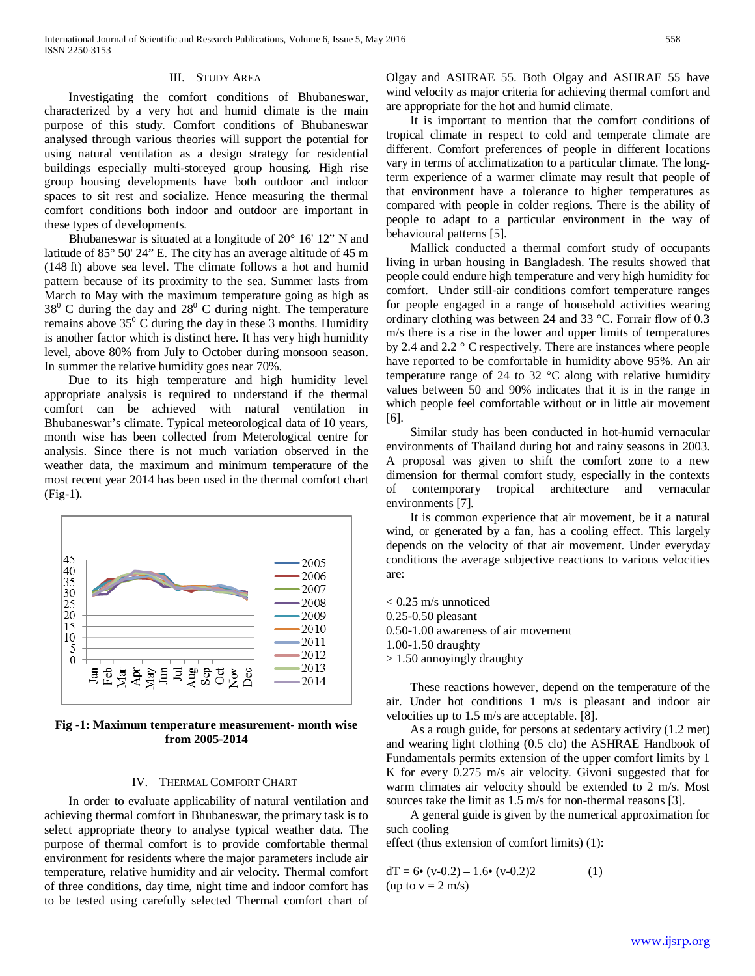# III. STUDY AREA

 Investigating the comfort conditions of Bhubaneswar, characterized by a very hot and humid climate is the main purpose of this study. Comfort conditions of Bhubaneswar analysed through various theories will support the potential for using natural ventilation as a design strategy for residential buildings especially multi-storeyed group housing. High rise group housing developments have both outdoor and indoor spaces to sit rest and socialize. Hence measuring the thermal comfort conditions both indoor and outdoor are important in these types of developments.

 Bhubaneswar is situated at a longitude of 20° 16' 12" N and latitude of 85° 50' 24" E. The city has an average altitude of 45 m (148 ft) above sea level. The climate follows a hot and humid pattern because of its proximity to the sea. Summer lasts from March to May with the maximum temperature going as high as  $38^{\circ}$  C during the day and  $28^{\circ}$  C during night. The temperature remains above  $35^{\circ}$  C during the day in these 3 months. Humidity is another factor which is distinct here. It has very high humidity level, above 80% from July to October during monsoon season. In summer the relative humidity goes near 70%.

 Due to its high temperature and high humidity level appropriate analysis is required to understand if the thermal comfort can be achieved with natural ventilation in Bhubaneswar's climate. Typical meteorological data of 10 years, month wise has been collected from Meterological centre for analysis. Since there is not much variation observed in the weather data, the maximum and minimum temperature of the most recent year 2014 has been used in the thermal comfort chart (Fig-1).



**Fig -1: Maximum temperature measurement- month wise from 2005-2014**

# IV. THERMAL COMFORT CHART

 In order to evaluate applicability of natural ventilation and achieving thermal comfort in Bhubaneswar, the primary task is to select appropriate theory to analyse typical weather data. The purpose of thermal comfort is to provide comfortable thermal environment for residents where the major parameters include air temperature, relative humidity and air velocity. Thermal comfort of three conditions, day time, night time and indoor comfort has to be tested using carefully selected Thermal comfort chart of

Olgay and ASHRAE 55. Both Olgay and ASHRAE 55 have wind velocity as major criteria for achieving thermal comfort and are appropriate for the hot and humid climate.

 It is important to mention that the comfort conditions of tropical climate in respect to cold and temperate climate are different. Comfort preferences of people in different locations vary in terms of acclimatization to a particular climate. The longterm experience of a warmer climate may result that people of that environment have a tolerance to higher temperatures as compared with people in colder regions. There is the ability of people to adapt to a particular environment in the way of behavioural patterns [5].

 Mallick conducted a thermal comfort study of occupants living in urban housing in Bangladesh. The results showed that people could endure high temperature and very high humidity for comfort. Under still-air conditions comfort temperature ranges for people engaged in a range of household activities wearing ordinary clothing was between 24 and 33 °C. Forrair flow of 0.3 m/s there is a rise in the lower and upper limits of temperatures by 2.4 and 2.2 ° C respectively. There are instances where people have reported to be comfortable in humidity above 95%. An air temperature range of 24 to 32 °C along with relative humidity values between 50 and 90% indicates that it is in the range in which people feel comfortable without or in little air movement [6].

 Similar study has been conducted in hot-humid vernacular environments of Thailand during hot and rainy seasons in 2003. A proposal was given to shift the comfort zone to a new dimension for thermal comfort study, especially in the contexts of contemporary tropical architecture and vernacular environments [7].

 It is common experience that air movement, be it a natural wind, or generated by a fan, has a cooling effect. This largely depends on the velocity of that air movement. Under everyday conditions the average subjective reactions to various velocities are:

 $< 0.25$  m/s unnoticed 0.25-0.50 pleasant 0.50-1.00 awareness of air movement 1.00-1.50 draughty > 1.50 annoyingly draughty

 These reactions however, depend on the temperature of the air. Under hot conditions 1 m/s is pleasant and indoor air velocities up to 1.5 m/s are acceptable. [8].

 As a rough guide, for persons at sedentary activity (1.2 met) and wearing light clothing (0.5 clo) the ASHRAE Handbook of Fundamentals permits extension of the upper comfort limits by 1 K for every 0.275 m/s air velocity. Givoni suggested that for warm climates air velocity should be extended to 2 m/s. Most sources take the limit as 1.5 m/s for non-thermal reasons [3].

 A general guide is given by the numerical approximation for such cooling

effect (thus extension of comfort limits) (1):

 $dT = 6$ • (v-0.2) – 1.6• (v-0.2)2 (1) (up to  $v = 2$  m/s)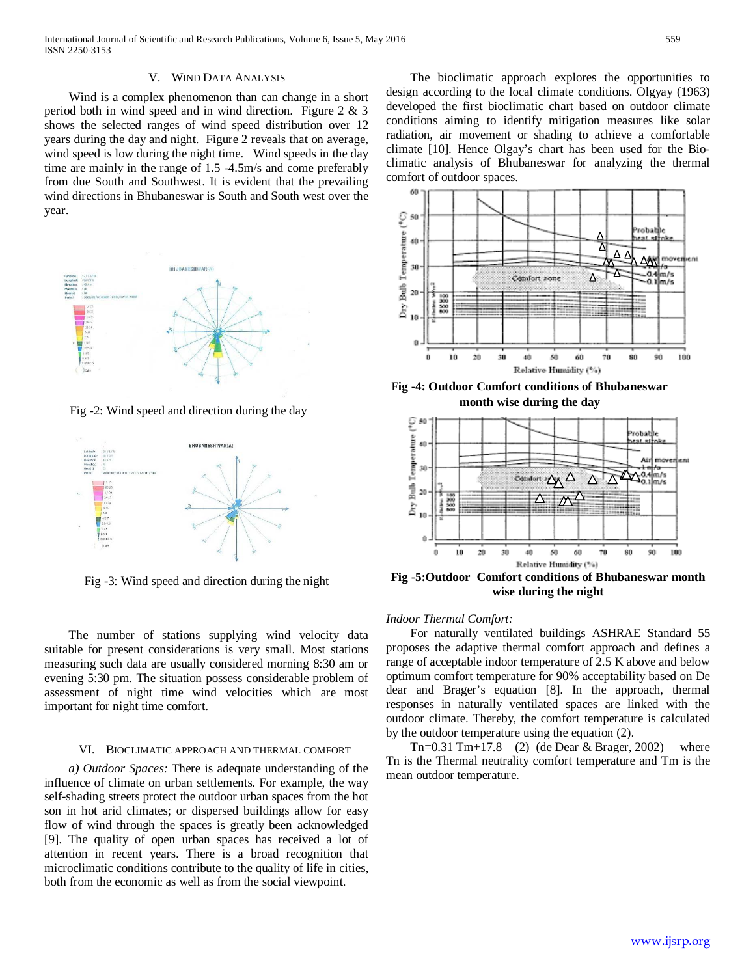#### V. WIND DATA ANALYSIS

 Wind is a complex phenomenon than can change in a short period both in wind speed and in wind direction. Figure 2 & 3 shows the selected ranges of wind speed distribution over 12 years during the day and night. Figure 2 reveals that on average, wind speed is low during the night time. Wind speeds in the day time are mainly in the range of 1.5 -4.5m/s and come preferably from due South and Southwest. It is evident that the prevailing wind directions in Bhubaneswar is South and South west over the year.



Fig -2: Wind speed and direction during the day



Fig -3: Wind speed and direction during the night

 The number of stations supplying wind velocity data suitable for present considerations is very small. Most stations measuring such data are usually considered morning 8:30 am or evening 5:30 pm. The situation possess considerable problem of assessment of night time wind velocities which are most important for night time comfort.

#### VI. BIOCLIMATIC APPROACH AND THERMAL COMFORT

 *a) Outdoor Spaces:* There is adequate understanding of the influence of climate on urban settlements. For example, the way self-shading streets protect the outdoor urban spaces from the hot son in hot arid climates; or dispersed buildings allow for easy flow of wind through the spaces is greatly been acknowledged [9]. The quality of open urban spaces has received a lot of attention in recent years. There is a broad recognition that microclimatic conditions contribute to the quality of life in cities, both from the economic as well as from the social viewpoint.

 The bioclimatic approach explores the opportunities to design according to the local climate conditions. Olgyay (1963) developed the first bioclimatic chart based on outdoor climate conditions aiming to identify mitigation measures like solar radiation, air movement or shading to achieve a comfortable climate [10]. Hence Olgay's chart has been used for the Bioclimatic analysis of Bhubaneswar for analyzing the thermal comfort of outdoor spaces.



F**ig -4: Outdoor Comfort conditions of Bhubaneswar month wise during the day**



**Fig -5:Outdoor Comfort conditions of Bhubaneswar month wise during the night**

*Indoor Thermal Comfort:*

 For naturally ventilated buildings ASHRAE Standard 55 proposes the adaptive thermal comfort approach and defines a range of acceptable indoor temperature of 2.5 K above and below optimum comfort temperature for 90% acceptability based on De dear and Brager's equation [8]. In the approach, thermal responses in naturally ventilated spaces are linked with the outdoor climate. Thereby, the comfort temperature is calculated by the outdoor temperature using the equation (2).

 Tn=0.31 Tm+17.8 (2) (de Dear & Brager, 2002) where Tn is the Thermal neutrality comfort temperature and Tm is the mean outdoor temperature.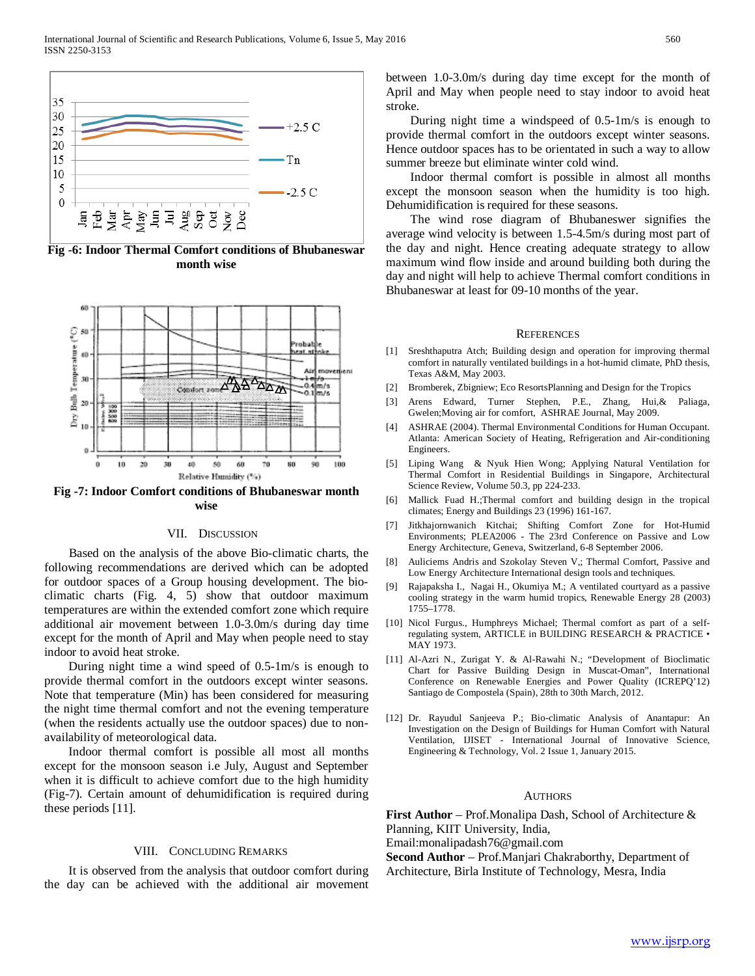

**Fig -6: Indoor Thermal Comfort conditions of Bhubaneswar month wise**



**Fig -7: Indoor Comfort conditions of Bhubaneswar month wise**

### VII. DISCUSSION

 Based on the analysis of the above Bio-climatic charts, the following recommendations are derived which can be adopted for outdoor spaces of a Group housing development. The bioclimatic charts (Fig. 4, 5) show that outdoor maximum temperatures are within the extended comfort zone which require additional air movement between 1.0-3.0m/s during day time except for the month of April and May when people need to stay indoor to avoid heat stroke.

 During night time a wind speed of 0.5-1m/s is enough to provide thermal comfort in the outdoors except winter seasons. Note that temperature (Min) has been considered for measuring the night time thermal comfort and not the evening temperature (when the residents actually use the outdoor spaces) due to nonavailability of meteorological data.

 Indoor thermal comfort is possible all most all months except for the monsoon season i.e July, August and September when it is difficult to achieve comfort due to the high humidity (Fig-7). Certain amount of dehumidification is required during these periods [11].

#### VIII. CONCLUDING REMARKS

 It is observed from the analysis that outdoor comfort during the day can be achieved with the additional air movement

between 1.0-3.0m/s during day time except for the month of April and May when people need to stay indoor to avoid heat stroke.

 During night time a windspeed of 0.5-1m/s is enough to provide thermal comfort in the outdoors except winter seasons. Hence outdoor spaces has to be orientated in such a way to allow summer breeze but eliminate winter cold wind.

 Indoor thermal comfort is possible in almost all months except the monsoon season when the humidity is too high. Dehumidification is required for these seasons.

 The wind rose diagram of Bhubaneswer signifies the average wind velocity is between 1.5-4.5m/s during most part of the day and night. Hence creating adequate strategy to allow maximum wind flow inside and around building both during the day and night will help to achieve Thermal comfort conditions in Bhubaneswar at least for 09-10 months of the year.

#### **REFERENCES**

- [1] Sreshthaputra Atch; Building design and operation for improving thermal comfort in naturally ventilated buildings in a hot-humid climate, PhD thesis, Texas A&M, May 2003.
- [2] Bromberek, Zbigniew; Eco ResortsPlanning and Design for the Tropics
- [3] Arens Edward, Turner Stephen, P.E., Zhang, Hui,& Paliaga, Gwelen;Moving air for comfort, ASHRAE Journal, May 2009.
- [4] ASHRAE (2004). Thermal Environmental Conditions for Human Occupant. Atlanta: American Society of Heating, Refrigeration and Air-conditioning Engineers.
- [5] Liping Wang & Nyuk Hien Wong; Applying Natural Ventilation for Thermal Comfort in Residential Buildings in Singapore, Architectural Science Review, Volume 50.3, pp 224-233.
- [6] Mallick Fuad H.;Thermal comfort and building design in the tropical climates; Energy and Buildings 23 (1996) 161-167.
- [7] Jitkhajornwanich Kitchai; Shifting Comfort Zone for Hot-Humid Environments; PLEA2006 - The 23rd Conference on Passive and Low Energy Architecture, Geneva, Switzerland, 6-8 September 2006.
- [8] Auliciems Andris and Szokolay Steven V,; Thermal Comfort, Passive and Low Energy Architecture International design tools and techniques.
- [9] Rajapaksha I., Nagai H., Okumiya M.; A ventilated courtyard as a passive cooling strategy in the warm humid tropics, Renewable Energy 28 (2003) 1755–1778.
- [10] Nicol Furgus., Humphreys Michael; Thermal comfort as part of a selfregulating system, ARTICLE in BUILDING RESEARCH & PRACTICE • MAY 1973.
- [11] Al-Azri N., Zurigat Y. & Al-Rawahi N.; "Development of Bioclimatic Chart for Passive Building Design in Muscat-Oman", International Conference on Renewable Energies and Power Quality (ICREPQ'12) Santiago de Compostela (Spain), 28th to 30th March, 2012.
- [12] Dr. Rayudul Sanjeeva P.; Bio-climatic Analysis of Anantapur: An Investigation on the Design of Buildings for Human Comfort with Natural Ventilation, IJISET - International Journal of Innovative Science, Engineering & Technology, Vol. 2 Issue 1, January 2015.

#### **AUTHORS**

**First Author** – Prof.Monalipa Dash, School of Architecture & Planning, KIIT University, India,

Email:monalipadash76@gmail.com

**Second Author** – Prof.Manjari Chakraborthy, Department of Architecture, Birla Institute of Technology, Mesra, India